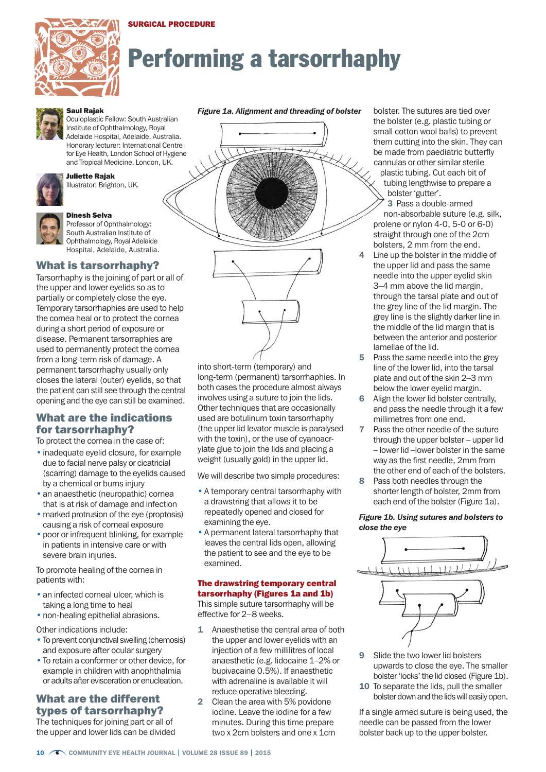## SURGICAL PROCEDURE



# Performing a tarsorrhaphy



## Saul Rajak

Oculoplastic Fellow: South Australian Institute of Ophthalmology, Royal Adelaide Hospital, Adelaide, Australia. Honorary lecturer: International Centre for Eye Health, London School of Hygiene and Tropical Medicine, London, UK.



#### Juliette Rajak Illustrator: Brighton, UK.



#### Dinesh Selva

Professor of Ophthalmology: South Australian Institute of Ophthalmology, Royal Adelaide Hospital, Adelaide, Australia.

## What is tarsorrhaphy?

Tarsorrhaphy is the joining of part or all of the upper and lower eyelids so as to partially or completely close the eye. Temporary tarsorrhaphies are used to help the cornea heal or to protect the cornea during a short period of exposure or disease. Permanent tarsorraphies are used to permanently protect the cornea from a long-term risk of damage. A permanent tarsorrhaphy usually only closes the lateral (outer) eyelids, so that the patient can still see through the central opening and the eye can still be examined.

# What are the indications for tarsorrhaphy?

To protect the cornea in the case of:

- inadequate eyelid closure, for example due to facial nerve palsy or cicatricial (scarring) damage to the eyelids caused by a chemical or burns injury
- an anaesthetic (neuropathic) cornea that is at risk of damage and infection
- marked protrusion of the eye (proptosis) causing a risk of corneal exposure
- poor or infrequent blinking, for example in patients in intensive care or with severe brain injuries.

To promote healing of the cornea in patients with:

- an infected corneal ulcer, which is taking a long time to heal
- non-healing epithelial abrasions.

Other indications include:

- To prevent conjunctival swelling (chemosis) and exposure after ocular surgery
- To retain a conformer or other device, for example in children with anophthalmia or adults after evisceration or enucleation.

# What are the different types of tarsorrhaphy?

The techniques for joining part or all of the upper and lower lids can be divided

## *Figure 1a. Alignment and threading of bolster*



into short-term (temporary) and long-term (permanent) tarsorrhaphies. In both cases the procedure almost always involves using a suture to join the lids. Other techniques that are occasionally used are botulinum toxin tarsorrhaphy (the upper lid levator muscle is paralysed with the toxin), or the use of cyanoacrylate glue to join the lids and placing a weight (usually gold) in the upper lid.

We will describe two simple procedures:

- A temporary central tarsorrhaphy with a drawstring that allows it to be repeatedly opened and closed for examining the eye.
- A permanent lateral tarsorrhaphy that leaves the central lids open, allowing the patient to see and the eye to be examined.

## The drawstring temporary central tarsorrhaphy (Figures 1a and 1b) This simple suture tarsorrhaphy will be

effective for 2–8 weeks.

- 1 Anaesthetise the central area of both the upper and lower eyelids with an injection of a few millilitres of local anaesthetic (e.g. lidocaine 1–2% or bupivacaine 0.5%). If anaesthetic with adrenaline is available it will reduce operative bleeding.
- 2 Clean the area with 5% povidone iodine. Leave the iodine for a few minutes. During this time prepare two x 2cm bolsters and one x 1cm

bolster. The sutures are tied over the bolster (e.g. plastic tubing or small cotton wool balls) to prevent them cutting into the skin. They can be made from paediatric butterfly cannulas or other similar sterile plastic tubing. Cut each bit of

tubing lengthwise to prepare a bolster 'gutter'.

3 Pass a double-armed non-absorbable suture (e.g. silk, prolene or nylon 4-0, 5-0 or 6-0) straight through one of the 2cm bolsters, 2 mm from the end.

- Line up the bolster in the middle of the upper lid and pass the same needle into the upper eyelid skin 3–4 mm above the lid margin, through the tarsal plate and out of the grey line of the lid margin. The grey line is the slightly darker line in the middle of the lid margin that is between the anterior and posterior lamellae of the lid.
- Pass the same needle into the grey line of the lower lid, into the tarsal plate and out of the skin 2–3 mm below the lower eyelid margin.
- Align the lower lid bolster centrally. and pass the needle through it a few millimetres from one end.
- 7 Pass the other needle of the suture through the upper bolster – upper lid – lower lid –lower bolster in the same way as the first needle, 2mm from the other end of each of the bolsters.
- 8 Pass both needles through the shorter length of bolster, 2mm from each end of the bolster (Figure 1a).

## *Figure 1b. Using sutures and bolsters to close the eye*



- 9 Slide the two lower lid bolsters upwards to close the eye. The smaller bolster 'locks' the lid closed (Figure 1b).
- 10 To separate the lids, pull the smaller bolster down and the lids will easily open.

If a single armed suture is being used, the needle can be passed from the lower bolster back up to the upper bolster.